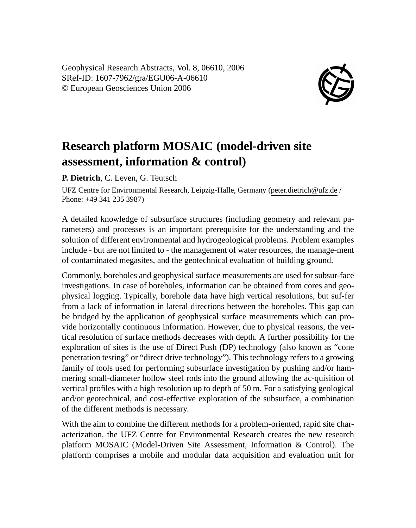Geophysical Research Abstracts, Vol. 8, 06610, 2006 SRef-ID: 1607-7962/gra/EGU06-A-06610 © European Geosciences Union 2006



## **Research platform MOSAIC (model-driven site assessment, information & control)**

**P. Dietrich**, C. Leven, G. Teutsch

UFZ Centre for Environmental Research, Leipzig-Halle, Germany (peter.dietrich@ufz.de / Phone: +49 341 235 3987)

A detailed knowledge of subsurface structures (including geometry and relevant parameters) and processes is an important prerequisite for the understanding and the solution of different environmental and hydrogeological problems. Problem examples include - but are not limited to - the management of water resources, the manage-ment of contaminated megasites, and the geotechnical evaluation of building ground.

Commonly, boreholes and geophysical surface measurements are used for subsur-face investigations. In case of boreholes, information can be obtained from cores and geophysical logging. Typically, borehole data have high vertical resolutions, but suf-fer from a lack of information in lateral directions between the boreholes. This gap can be bridged by the application of geophysical surface measurements which can provide horizontally continuous information. However, due to physical reasons, the vertical resolution of surface methods decreases with depth. A further possibility for the exploration of sites is the use of Direct Push (DP) technology (also known as "cone penetration testing" or "direct drive technology"). This technology refers to a growing family of tools used for performing subsurface investigation by pushing and/or hammering small-diameter hollow steel rods into the ground allowing the ac-quisition of vertical profiles with a high resolution up to depth of 50 m. For a satisfying geological and/or geotechnical, and cost-effective exploration of the subsurface, a combination of the different methods is necessary.

With the aim to combine the different methods for a problem-oriented, rapid site characterization, the UFZ Centre for Environmental Research creates the new research platform MOSAIC (Model-Driven Site Assessment, Information & Control). The platform comprises a mobile and modular data acquisition and evaluation unit for